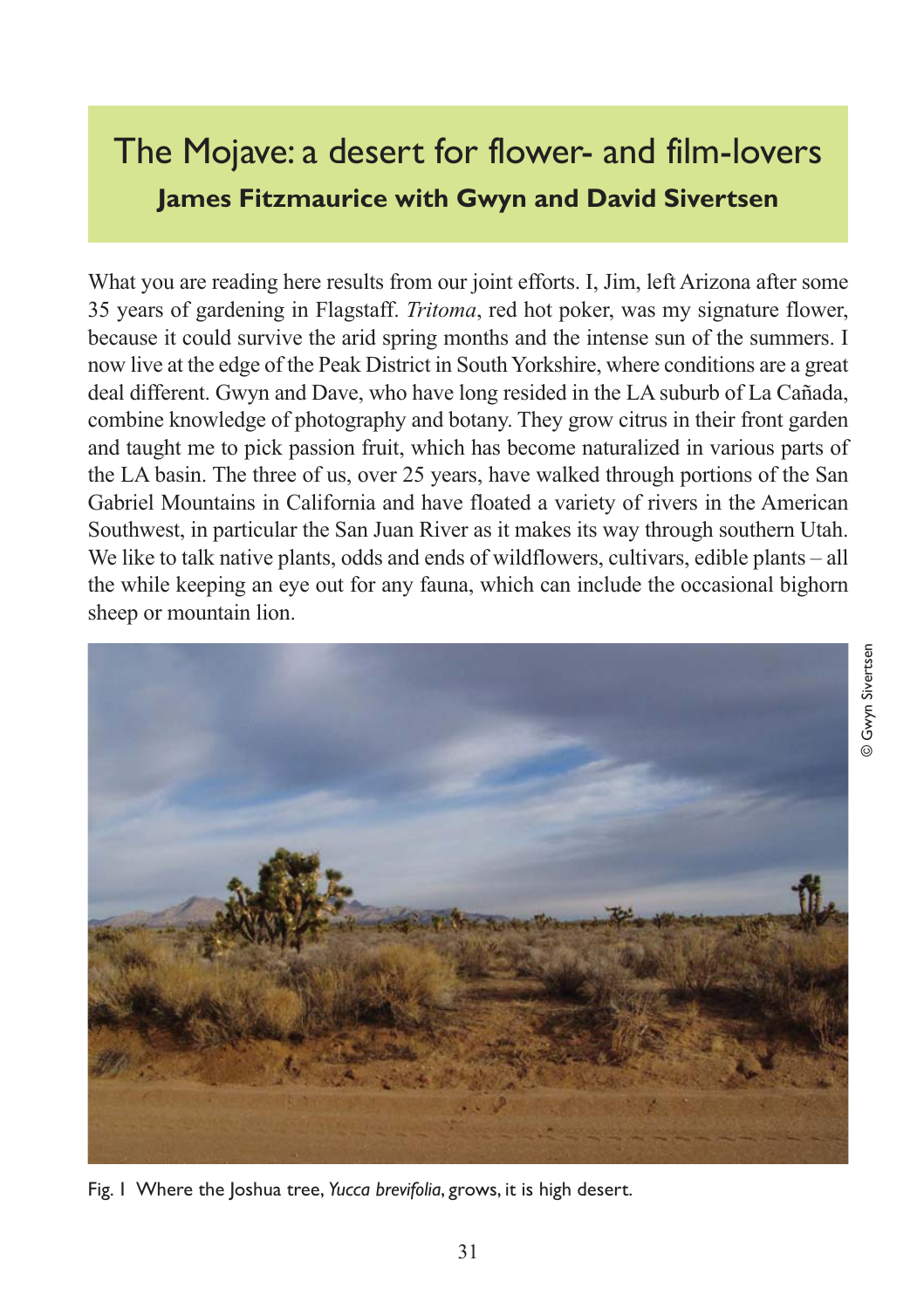## The Mojave: a desert for flower- and film-lovers **James Fitzmaurice with Gwyn and David Sivertsen**

What you are reading here results from our joint efforts. I, Jim, left Arizona after some 35 years of gardening in Flagstaff. *Tritoma*, red hot poker, was my signature flower, because it could survive the arid spring months and the intense sun of the summers. I now live at the edge of the Peak District in South Yorkshire, where conditions are a great deal different. Gwyn and Dave, who have long resided in the LA suburb of La Cañada, combine knowledge of photography and botany. They grow citrus in their front garden and taught me to pick passion fruit, which has become naturalized in various parts of the LA basin. The three of us, over 25 years, have walked through portions of the San Gabriel Mountains in California and have floated a variety of rivers in the American Southwest, in particular the San Juan River as it makes its way through southern Utah. We like to talk native plants, odds and ends of wildflowers, cultivars, edible plants – all the while keeping an eye out for any fauna, which can include the occasional bighorn sheep or mountain lion.



Fig. 1 Where the Joshua tree, *Yucca brevifolia*, grows, it is high desert.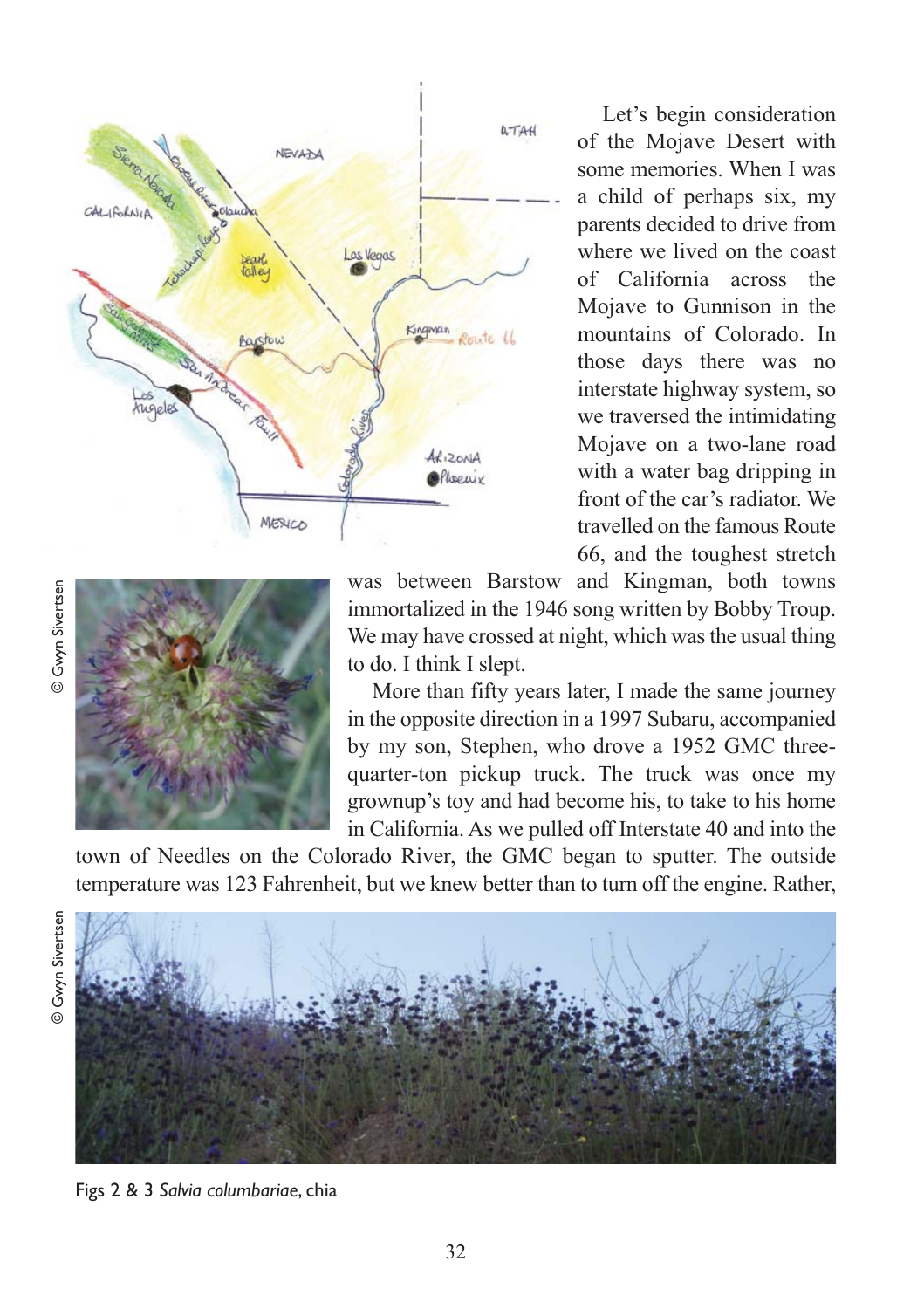

Let's begin consideration of the Mojave Desert with some memories. When I was a child of perhaps six, my parents decided to drive from where we lived on the coast of California across the Mojave to Gunnison in the mountains of Colorado. In those days there was no interstate highway system, so we traversed the intimidating Mojave on a two-lane road with a water bag dripping in front of the car's radiator. We travelled on the famous Route 66, and the toughest stretch



was between Barstow and Kingman, both towns immortalized in the 1946 song written by Bobby Troup. We may have crossed at night, which was the usual thing to do. I think I slept.

More than fifty years later, I made the same journey in the opposite direction in a 1997 Subaru, accompanied by my son, Stephen, who drove a 1952 GMC threequarter-ton pickup truck. The truck was once my grownup's toy and had become his, to take to his home in California. As we pulled off Interstate 40 and into the

town of Needles on the Colorado River, the GMC began to sputter. The outside temperature was 123 Fahrenheit, but we knew better than to turn off the engine. Rather,

© Gwyn Sivertsen

© Gwyn Sivertsen



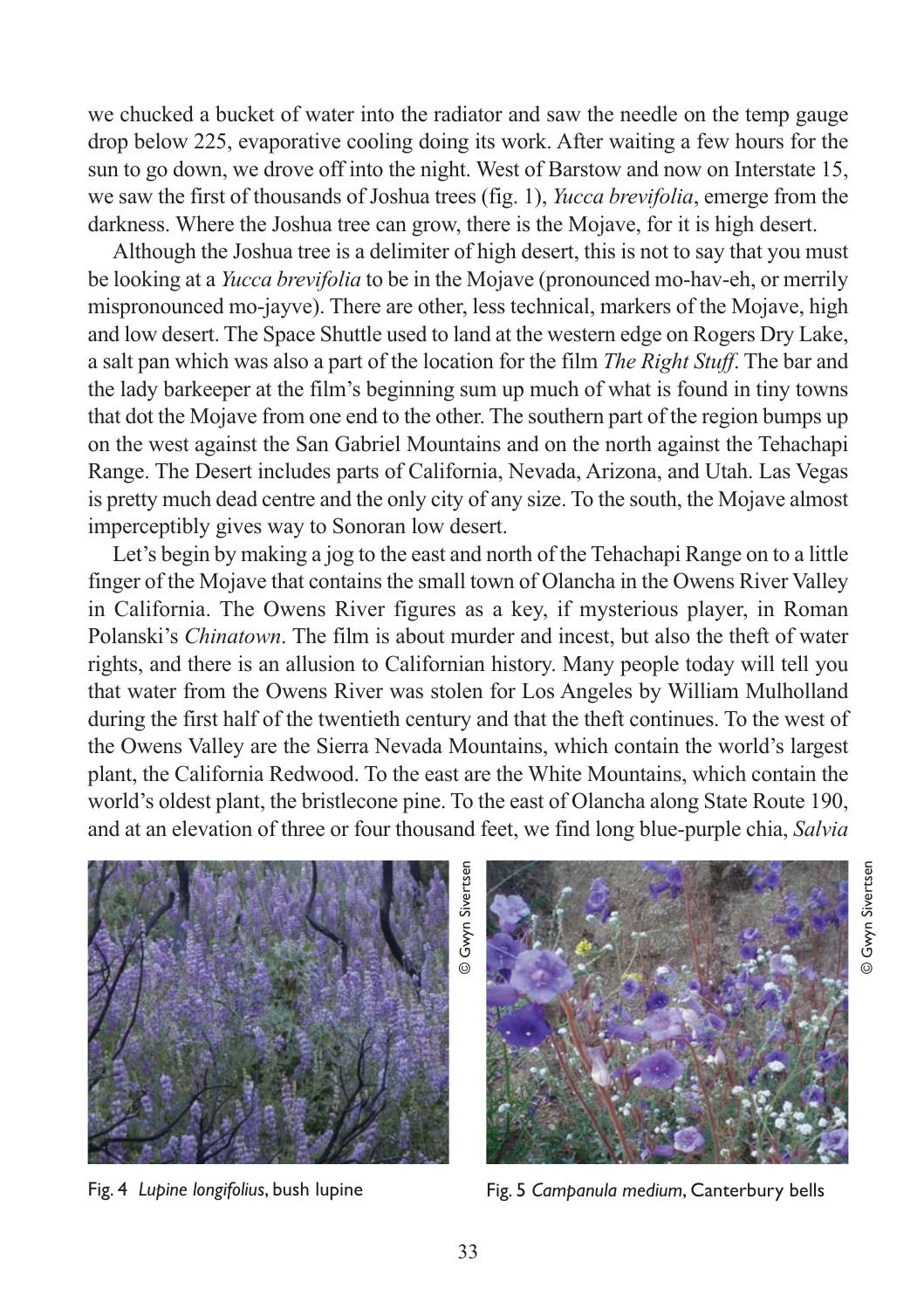we chucked a bucket of water into the radiator and saw the needle on the temp gauge drop below 225, evaporative cooling doing its work. After waiting a few hours for the sun to go down, we drove off into the night. West of Barstow and now on Interstate 15, we saw the first of thousands of Joshua trees (fig. 1), *Yucca brevifolia*, emerge from the darkness. Where the Joshua tree can grow, there is the Mojave, for it is high desert.

Although the Joshua tree is a delimiter of high desert, this is not to say that you must be looking at a *Yucca brevifolia* to be in the Mojave (pronounced mo-hav-eh, or merrily mispronounced mo-jayve). There are other, less technical, markers of the Mojave, high and low desert. The Space Shuttle used to land at the western edge on Rogers Dry Lake, a salt pan which was also a part of the location for the film *The Right Stuff*. The bar and the lady barkeeper at the film's beginning sum up much of what is found in tiny towns that dot the Mojave from one end to the other. The southern part of the region bumps up on the west against the San Gabriel Mountains and on the north against the Tehachapi Range. The Desert includes parts of California, Nevada, Arizona, and Utah. Las Vegas is pretty much dead centre and the only city of any size. To the south, the Mojave almost imperceptibly gives way to Sonoran low desert.

Let's begin by making a jog to the east and north of the Tehachapi Range on to a little finger of the Mojave that contains the small town of Olancha in the Owens River Valley in California. The Owens River figures as a key, if mysterious player, in Roman Polanski's *Chinatown*. The film is about murder and incest, but also the theft of water rights, and there is an allusion to Californian history. Many people today will tell you that water from the Owens River was stolen for Los Angeles by William Mulholland during the first half of the twentieth century and that the theft continues. To the west of the Owens Valley are the Sierra Nevada Mountains, which contain the world's largest plant, the California Redwood. To the east are the White Mountains, which contain the world's oldest plant, the bristlecone pine. To the east of Olancha along State Route 190, and at an elevation of three or four thousand feet, we find long blue-purple chia, *Salvia*





© Gwyn Sivertsen

**Gwyn Sivertsen** 

Fig. 4 *Lupine longifolius*, bush lupine Fig. 5 *Campanula medium*, Canterbury bells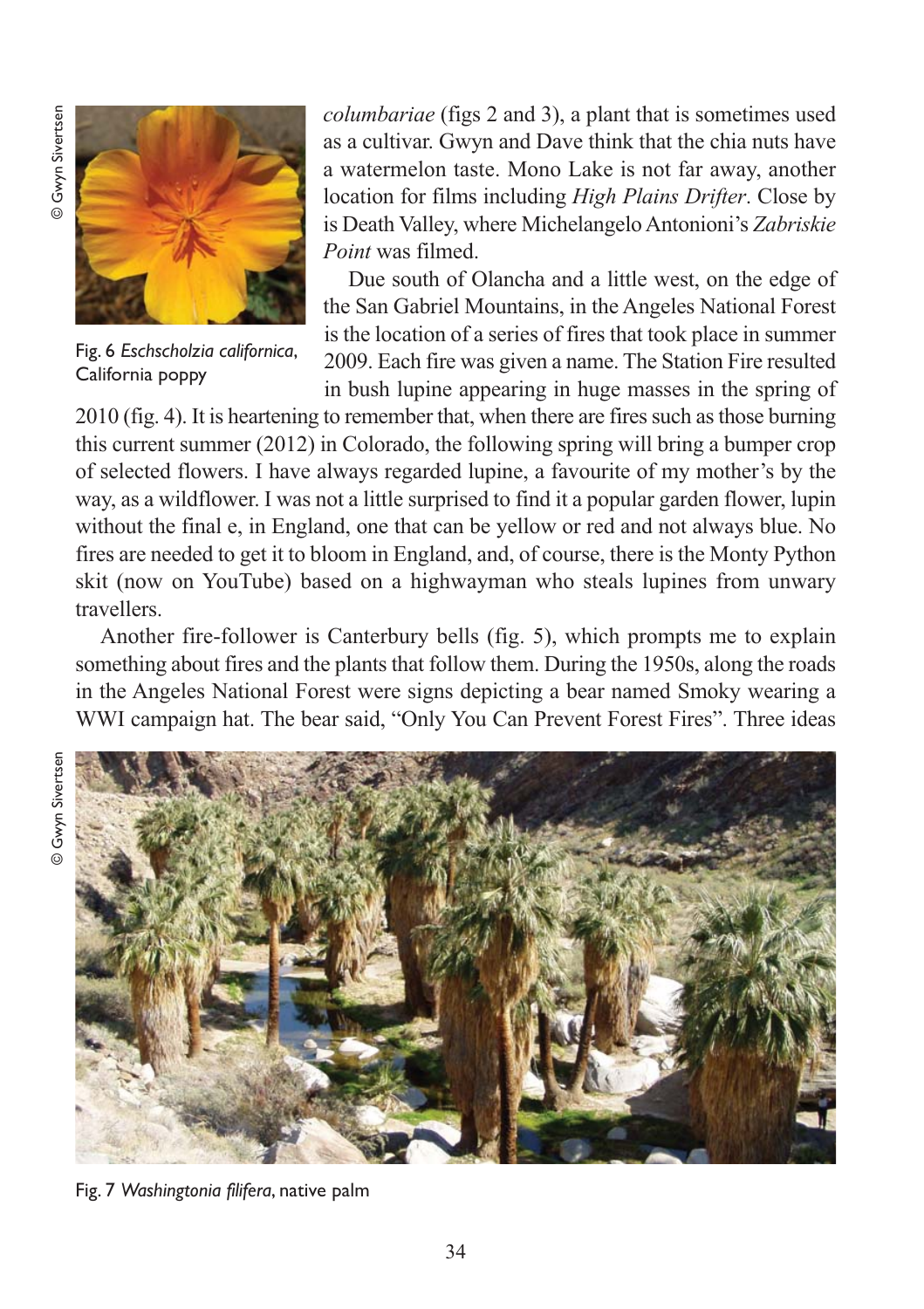

Fig. 6 *Eschscholzia californica*, California poppy

*columbariae* (figs 2 and 3), a plant that is sometimes used as a cultivar. Gwyn and Dave think that the chia nuts have a watermelon taste. Mono Lake is not far away, another location for films including *High Plains Drifter*. Close by is Death Valley, where Michelangelo Antonioni's *Zabriskie Point* was filmed.

Due south of Olancha and a little west, on the edge of the San Gabriel Mountains, in the Angeles National Forest is the location of a series of fires that took place in summer 2009. Each fire was given a name. The Station Fire resulted in bush lupine appearing in huge masses in the spring of

2010 (fig. 4). It is heartening to remember that, when there are fires such as those burning this current summer (2012) in Colorado, the following spring will bring a bumper crop of selected flowers. I have always regarded lupine, a favourite of my mother's by the way, as a wildflower. I was not a little surprised to find it a popular garden flower, lupin without the final e, in England, one that can be yellow or red and not always blue. No fires are needed to get it to bloom in England, and, of course, there is the Monty Python skit (now on YouTube) based on a highwayman who steals lupines from unwary travellers.

Another fire-follower is Canterbury bells (fig. 5), which prompts me to explain something about fires and the plants that follow them. During the 1950s, along the roads in the Angeles National Forest were signs depicting a bear named Smoky wearing a WWI campaign hat. The bear said, "Only You Can Prevent Forest Fires". Three ideas





Fig. 7 *Washingtonia filifera*, native palm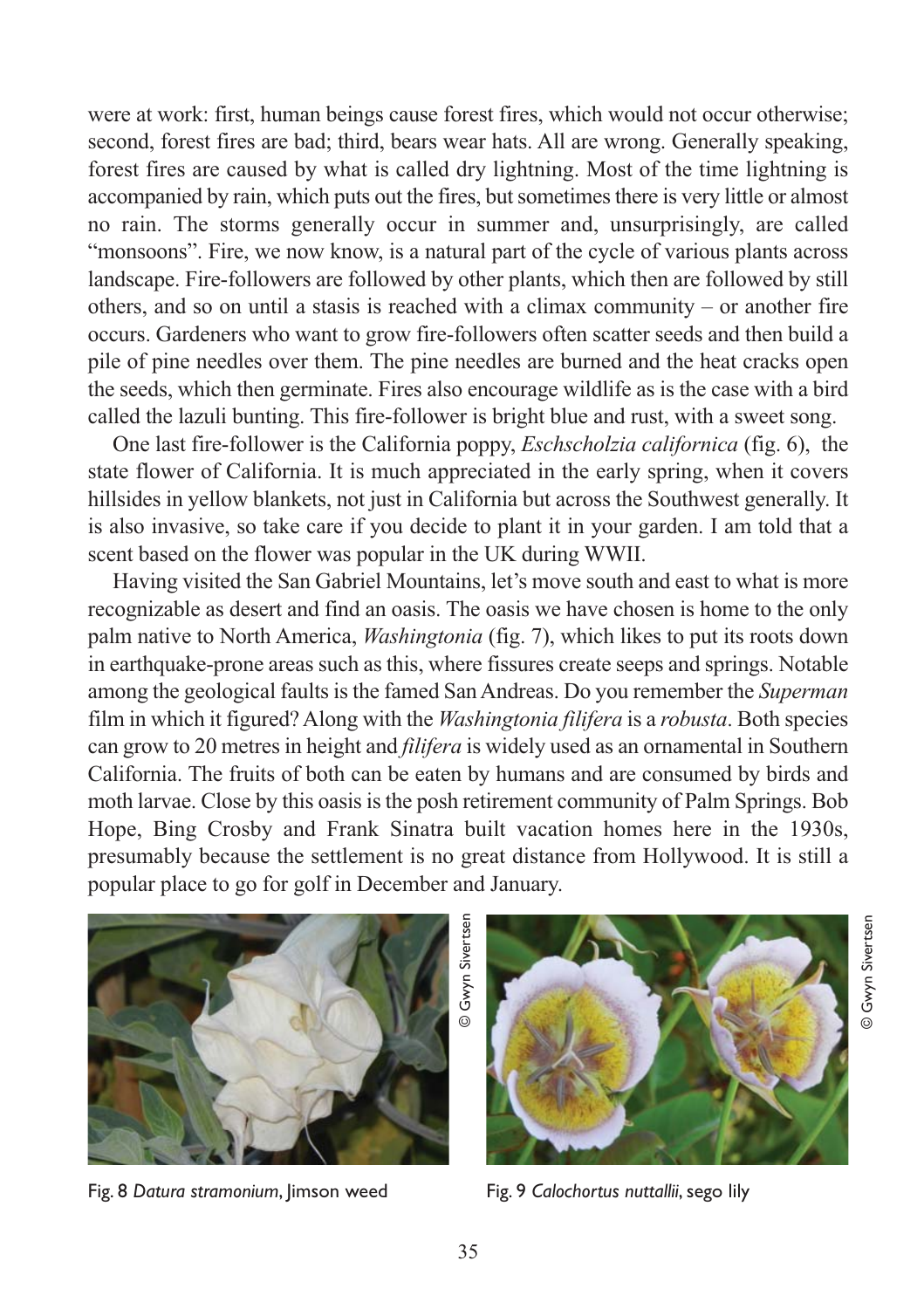were at work: first, human beings cause forest fires, which would not occur otherwise; second, forest fires are bad; third, bears wear hats. All are wrong. Generally speaking, forest fires are caused by what is called dry lightning. Most of the time lightning is accompanied by rain, which puts out the fires, but sometimes there is very little or almost no rain. The storms generally occur in summer and, unsurprisingly, are called "monsoons". Fire, we now know, is a natural part of the cycle of various plants across landscape. Fire-followers are followed by other plants, which then are followed by still others, and so on until a stasis is reached with a climax community – or another fire occurs. Gardeners who want to grow fire-followers often scatter seeds and then build a pile of pine needles over them. The pine needles are burned and the heat cracks open the seeds, which then germinate. Fires also encourage wildlife as is the case with a bird called the lazuli bunting. This fire-follower is bright blue and rust, with a sweet song.

One last fire-follower is the California poppy, *Eschscholzia californica* (fig. 6), the state flower of California. It is much appreciated in the early spring, when it covers hillsides in yellow blankets, not just in California but across the Southwest generally. It is also invasive, so take care if you decide to plant it in your garden. I am told that a scent based on the flower was popular in the UK during WWII.

Having visited the San Gabriel Mountains, let's move south and east to what is more recognizable as desert and find an oasis. The oasis we have chosen is home to the only palm native to North America, *Washingtonia* (fig. 7), which likes to put its roots down in earthquake-prone areas such as this, where fissures create seeps and springs. Notable among the geological faults is the famed San Andreas. Do you remember the *Superman* film in which it figured? Along with the *Washingtonia filifera* is a *robusta*. Both species can grow to 20 metres in height and *filifera* is widely used as an ornamental in Southern California. The fruits of both can be eaten by humans and are consumed by birds and moth larvae. Close by this oasis is the posh retirement community of Palm Springs. Bob Hope, Bing Crosby and Frank Sinatra built vacation homes here in the 1930s, presumably because the settlement is no great distance from Hollywood. It is still a popular place to go for golf in December and January.



Fig. 8 *Datura stramonium*, Jimson weed Fig. 9 *Calochortus nuttallii*, sego lily

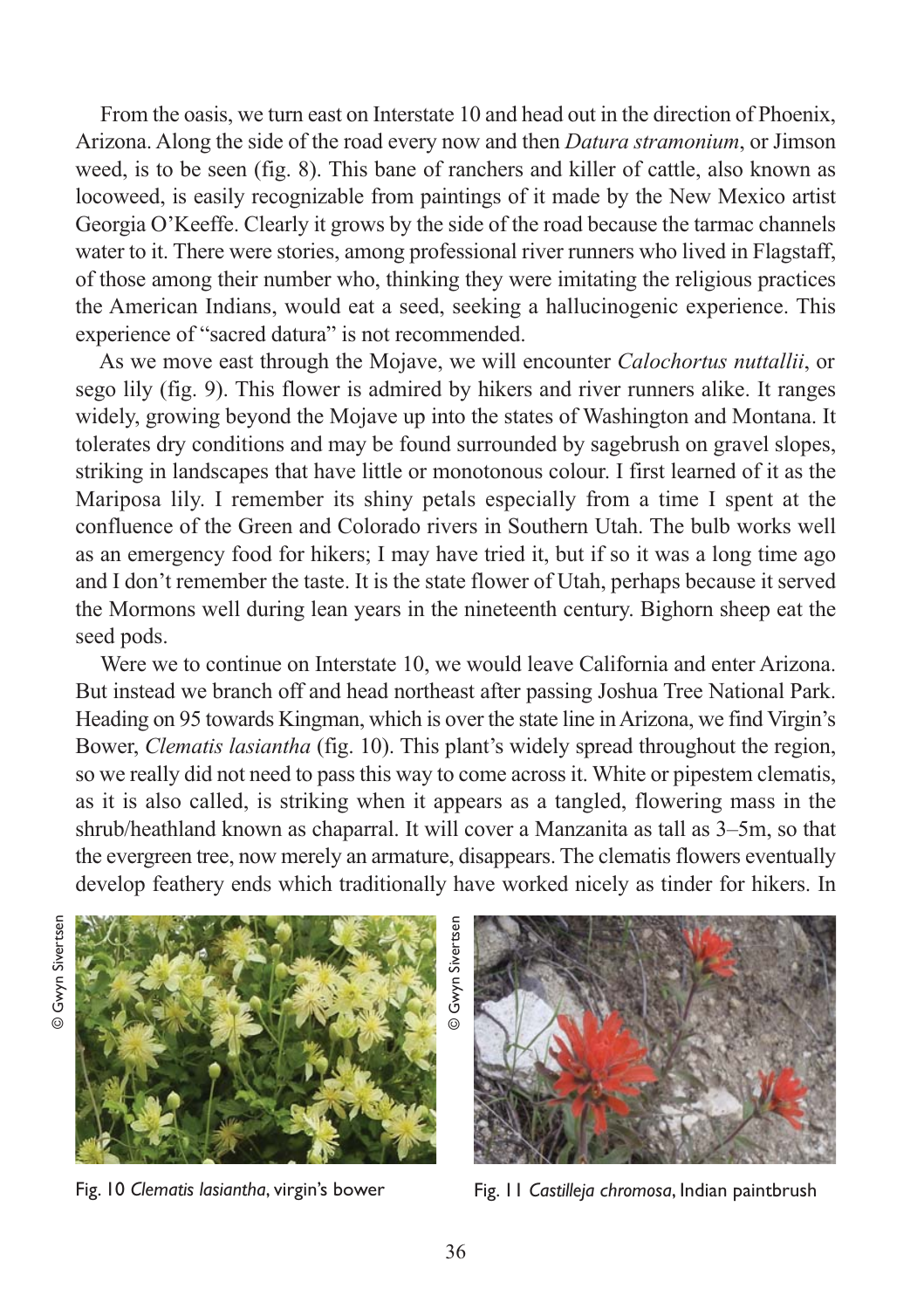From the oasis, we turn east on Interstate 10 and head out in the direction of Phoenix, Arizona. Along the side of the road every now and then *Datura stramonium*, or Jimson weed, is to be seen (fig. 8). This bane of ranchers and killer of cattle, also known as locoweed, is easily recognizable from paintings of it made by the New Mexico artist Georgia O'Keeffe. Clearly it grows by the side of the road because the tarmac channels water to it. There were stories, among professional river runners who lived in Flagstaff, of those among their number who, thinking they were imitating the religious practices the American Indians, would eat a seed, seeking a hallucinogenic experience. This experience of "sacred datura" is not recommended.

As we move east through the Mojave, we will encounter *Calochortus nuttallii*, or sego lily (fig. 9). This flower is admired by hikers and river runners alike. It ranges widely, growing beyond the Mojave up into the states of Washington and Montana. It tolerates dry conditions and may be found surrounded by sagebrush on gravel slopes, striking in landscapes that have little or monotonous colour. I first learned of it as the Mariposa lily. I remember its shiny petals especially from a time I spent at the confluence of the Green and Colorado rivers in Southern Utah. The bulb works well as an emergency food for hikers; I may have tried it, but if so it was a long time ago and I don't remember the taste. It is the state flower of Utah, perhaps because it served the Mormons well during lean years in the nineteenth century. Bighorn sheep eat the seed pods.

Were we to continue on Interstate 10, we would leave California and enter Arizona. But instead we branch off and head northeast after passing Joshua Tree National Park. Heading on 95 towards Kingman, which is over the state line in Arizona, we find Virgin's Bower, *Clematis lasiantha* (fig. 10). This plant's widely spread throughout the region, so we really did not need to pass this way to come across it. White or pipestem clematis, as it is also called, is striking when it appears as a tangled, flowering mass in the shrub/heathland known as chaparral. It will cover a Manzanita as tall as 3–5m, so that the evergreen tree, now merely an armature, disappears. The clematis flowers eventually develop feathery ends which traditionally have worked nicely as tinder for hikers. In





Fig. 10 *Clematis lasiantha*, virgin's bower Fig. 11 *Castilleja chromosa*, Indian paintbrush